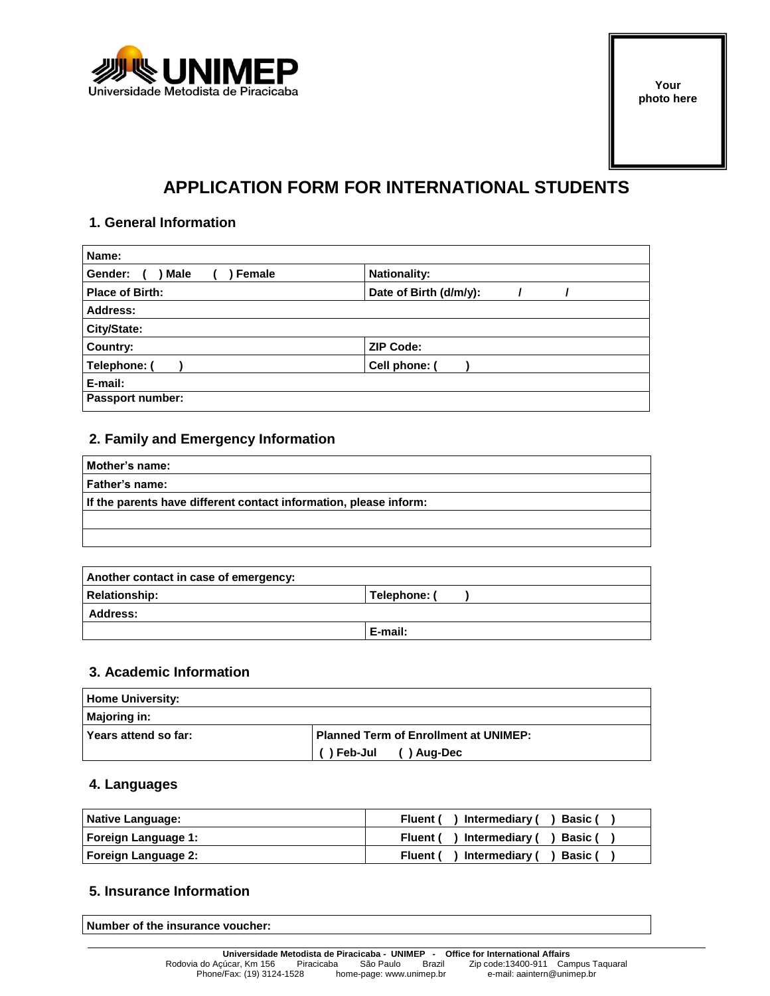

## **APPLICATION FORM FOR INTERNATIONAL STUDENTS**

#### **1. General Information**

| Name:                            |                        |
|----------------------------------|------------------------|
| <b>Male</b><br>Female<br>Gender: | <b>Nationality:</b>    |
| <b>Place of Birth:</b>           | Date of Birth (d/m/y): |
| Address:                         |                        |
| City/State:                      |                        |
| Country:                         | <b>ZIP Code:</b>       |
| Telephone: (                     | Cell phone: (          |
| E-mail:                          |                        |
| Passport number:                 |                        |

#### **2. Family and Emergency Information**

| Mother's name:                                                    |
|-------------------------------------------------------------------|
| Father's name:                                                    |
| If the parents have different contact information, please inform: |
|                                                                   |
|                                                                   |

| Another contact in case of emergency: |              |  |
|---------------------------------------|--------------|--|
| Relationship:                         | Telephone: ( |  |
| <b>Address:</b>                       |              |  |
|                                       | E-mail:      |  |

#### **3. Academic Information**

| Home University:       |                                              |  |  |
|------------------------|----------------------------------------------|--|--|
| Majoring in:           |                                              |  |  |
| l Years attend so far: | <b>Planned Term of Enrollment at UNIMEP:</b> |  |  |
|                        | ()Feb-Jul<br>()Aug-Dec                       |  |  |

#### **4. Languages**

| Native Language:    | Fluent () Intermediary () Basic (         |
|---------------------|-------------------------------------------|
| Foreign Language 1: | Fluent () Intermediary () Basic (         |
| Foreign Language 2: | ) Intermediary (<br>Fluent (<br>) Basic ( |

#### **5. Insurance Information**

**Number of the insurance voucher:**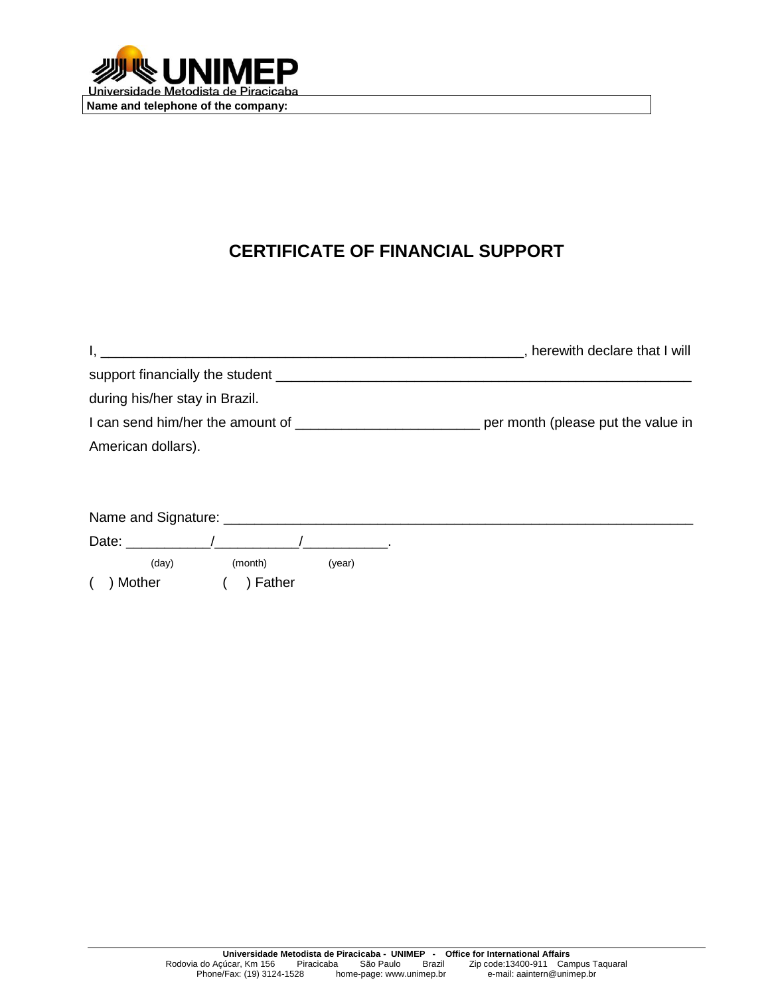

# **CERTIFICATE OF FINANCIAL SUPPORT**

| <u> 1989 - John Stein, Amerikaansk politiker (* 1908)</u> | , herewith declare that I will |
|-----------------------------------------------------------|--------------------------------|
|                                                           |                                |
| during his/her stay in Brazil.                            |                                |
|                                                           |                                |
| American dollars).                                        |                                |
|                                                           |                                |
|                                                           |                                |
|                                                           |                                |
| Date: $\qquad \qquad / \qquad \qquad / \qquad \qquad .$   |                                |
| (day)<br>(month)<br>(year)                                |                                |
| ) Mother<br>) Father                                      |                                |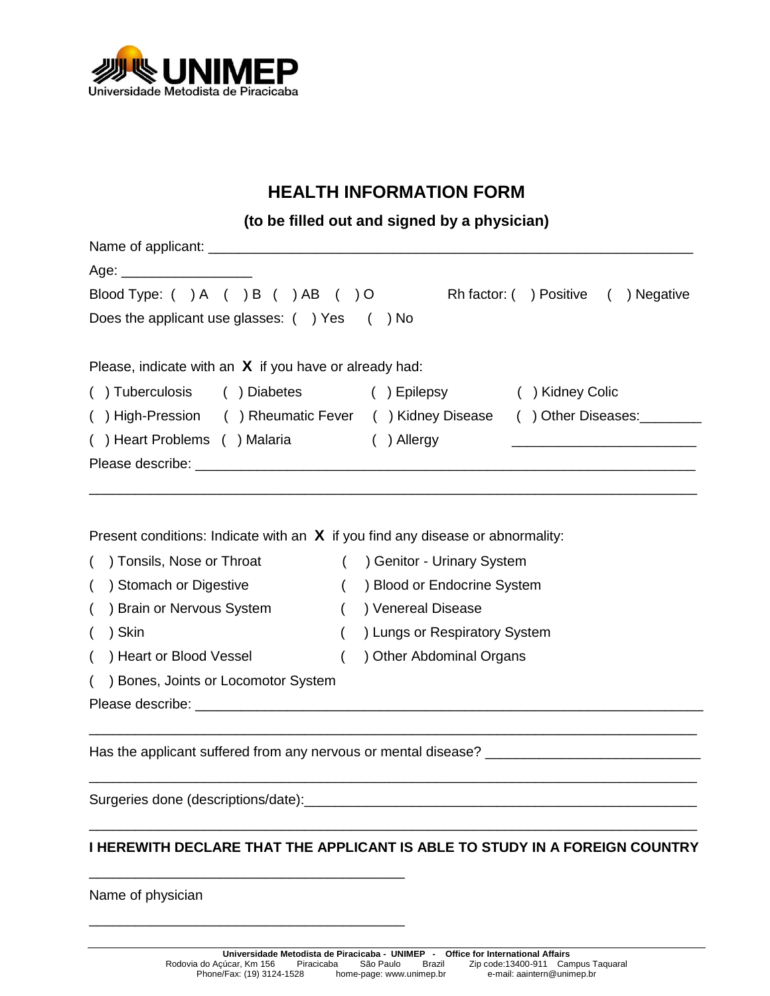

## **HEALTH INFORMATION FORM**

**(to be filled out and signed by a physician)**

| Age: _______________________                                                                                                                                                                                                                                                                  |                                                                                                                    |
|-----------------------------------------------------------------------------------------------------------------------------------------------------------------------------------------------------------------------------------------------------------------------------------------------|--------------------------------------------------------------------------------------------------------------------|
| Blood Type: ( ) A ( ) B ( ) AB ( ) O                                                                                                                                                                                                                                                          | Rh factor: () Positive () Negative                                                                                 |
| Does the applicant use glasses: () Yes () No                                                                                                                                                                                                                                                  |                                                                                                                    |
| Please, indicate with an $X$ if you have or already had:                                                                                                                                                                                                                                      |                                                                                                                    |
| () Tuberculosis () Diabetes () Epilepsy                                                                                                                                                                                                                                                       | ( ) Kidney Colic                                                                                                   |
|                                                                                                                                                                                                                                                                                               | () High-Pression () Rheumatic Fever () Kidney Disease () Other Diseases:                                           |
| () Heart Problems () Malaria () Allergy                                                                                                                                                                                                                                                       |                                                                                                                    |
|                                                                                                                                                                                                                                                                                               |                                                                                                                    |
| Present conditions: Indicate with an $\bm{X}$ if you find any disease or abnormality:<br>() Tonsils, Nose or Throat () Genitor - Urinary System<br>) Stomach or Digestive<br>$\left($<br>$\left($<br>) Brain or Nervous System<br>) Skin<br>$\left($<br>( ) Heart or Blood Vessel<br>$\left($ | ( ) Blood or Endocrine System<br>( ) Venereal Disease<br>) Lungs or Respiratory System<br>) Other Abdominal Organs |
| () Bones, Joints or Locomotor System                                                                                                                                                                                                                                                          |                                                                                                                    |
|                                                                                                                                                                                                                                                                                               |                                                                                                                    |
|                                                                                                                                                                                                                                                                                               |                                                                                                                    |
|                                                                                                                                                                                                                                                                                               |                                                                                                                    |

Surgeries done (descriptions/date):\_\_\_\_\_\_\_\_\_\_\_\_\_\_\_\_\_\_\_\_\_\_\_\_\_\_\_\_\_\_\_\_\_\_\_\_\_\_\_\_\_\_\_\_\_\_\_\_\_\_\_ \_\_\_\_\_\_\_\_\_\_\_\_\_\_\_\_\_\_\_\_\_\_\_\_\_\_\_\_\_\_\_\_\_\_\_\_\_\_\_\_\_\_\_\_\_\_\_\_\_\_\_\_\_\_\_\_\_\_\_\_\_\_\_\_\_\_\_\_\_\_\_\_\_\_\_\_\_\_\_

\_\_\_\_\_\_\_\_\_\_\_\_\_\_\_\_\_\_\_\_\_\_\_\_\_\_\_\_\_\_\_\_\_\_\_\_\_\_\_\_\_

\_\_\_\_\_\_\_\_\_\_\_\_\_\_\_\_\_\_\_\_\_\_\_\_\_\_\_\_\_\_\_\_\_\_\_\_\_\_\_\_\_

### **I HEREWITH DECLARE THAT THE APPLICANT IS ABLE TO STUDY IN A FOREIGN COUNTRY**

Name of physician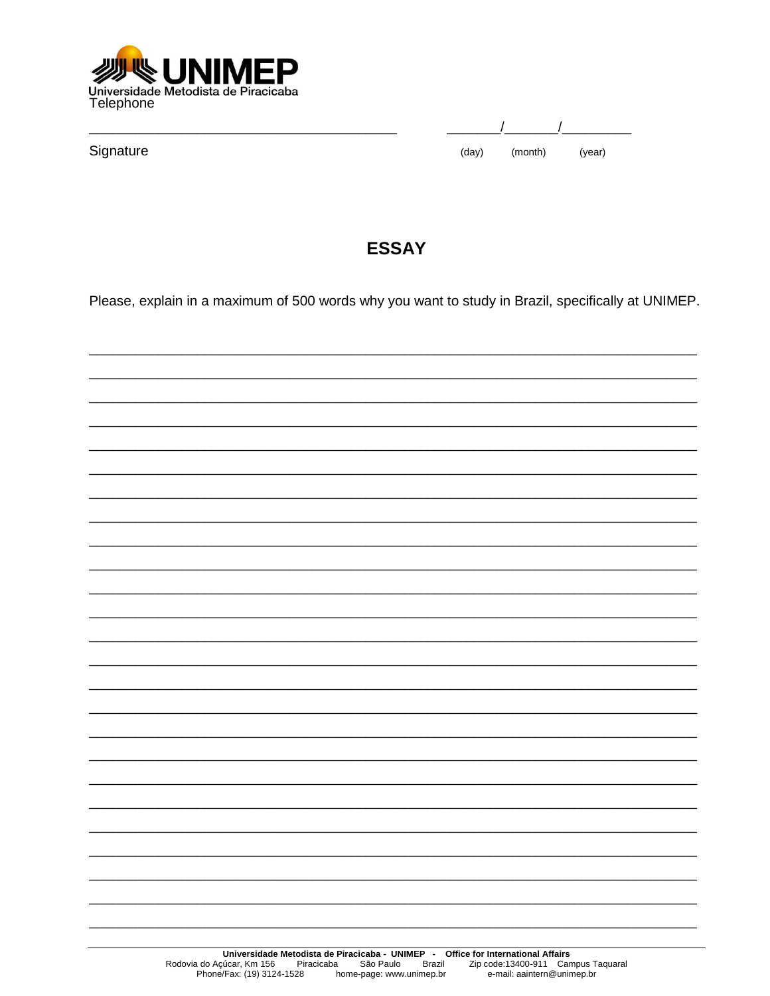

| Signature |
|-----------|
|-----------|

| (day) | (month) | (year) |  |
|-------|---------|--------|--|

### **ESSAY**

Please, explain in a maximum of 500 words why you want to study in Brazil, specifically at UNIMEP.